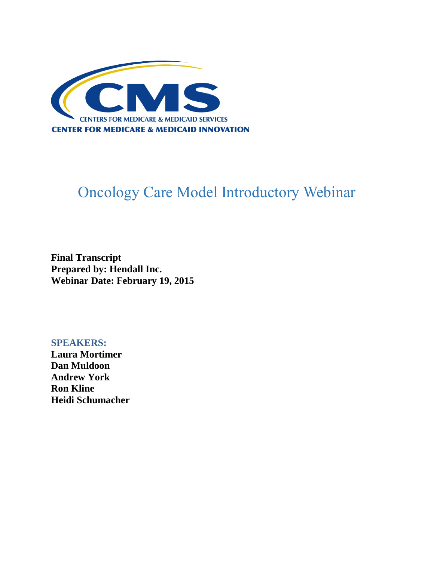

# Oncology Care Model Introductory Webinar

**Final Transcript Prepared by: Hendall Inc. Webinar Date: February 19, 2015**

**SPEAKERS: Laura Mortimer Dan Muldoon Andrew York Ron Kline Heidi Schumacher**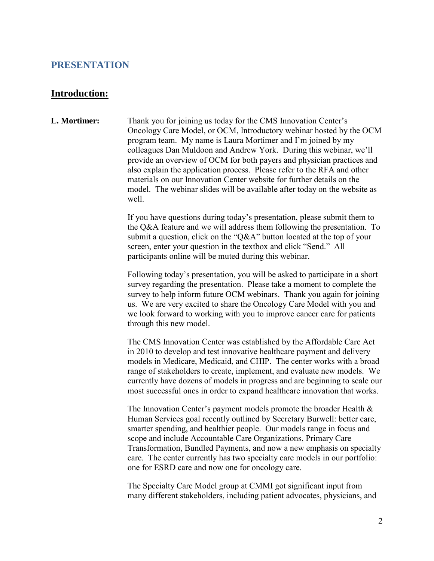## **PRESENTATION**

#### **Introduction:**

**L. Mortimer:** Thank you for joining us today for the CMS Innovation Center's Oncology Care Model, or OCM, Introductory webinar hosted by the OCM program team. My name is Laura Mortimer and I'm joined by my colleagues Dan Muldoon and Andrew York. During this webinar, we'll provide an overview of OCM for both payers and physician practices and also explain the application process. Please refer to the RFA and other materials on our Innovation Center website for further details on the model. The webinar slides will be available after today on the website as well.

> If you have questions during today's presentation, please submit them to the Q&A feature and we will address them following the presentation. To submit a question, click on the "Q&A" button located at the top of your screen, enter your question in the textbox and click "Send." All participants online will be muted during this webinar.

> Following today's presentation, you will be asked to participate in a short survey regarding the presentation. Please take a moment to complete the survey to help inform future OCM webinars. Thank you again for joining us. We are very excited to share the Oncology Care Model with you and we look forward to working with you to improve cancer care for patients through this new model.

> The CMS Innovation Center was established by the Affordable Care Act in 2010 to develop and test innovative healthcare payment and delivery models in Medicare, Medicaid, and CHIP. The center works with a broad range of stakeholders to create, implement, and evaluate new models. We currently have dozens of models in progress and are beginning to scale our most successful ones in order to expand healthcare innovation that works.

> The Innovation Center's payment models promote the broader Health  $\&$ Human Services goal recently outlined by Secretary Burwell: better care, smarter spending, and healthier people. Our models range in focus and scope and include Accountable Care Organizations, Primary Care Transformation, Bundled Payments, and now a new emphasis on specialty care. The center currently has two specialty care models in our portfolio: one for ESRD care and now one for oncology care.

The Specialty Care Model group at CMMI got significant input from many different stakeholders, including patient advocates, physicians, and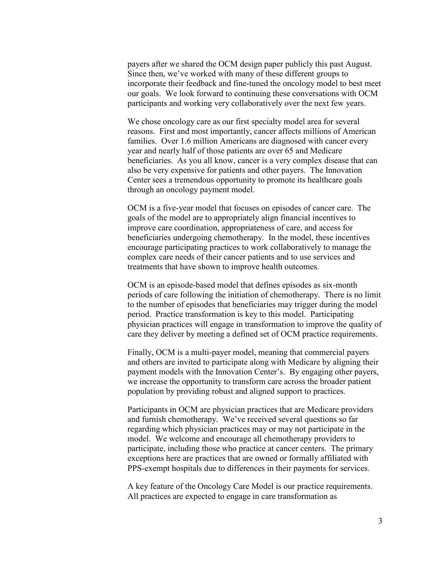payers after we shared the OCM design paper publicly this past August. Since then, we've worked with many of these different groups to incorporate their feedback and fine-tuned the oncology model to best meet our goals. We look forward to continuing these conversations with OCM participants and working very collaboratively over the next few years.

We chose oncology care as our first specialty model area for several reasons. First and most importantly, cancer affects millions of American families. Over 1.6 million Americans are diagnosed with cancer every year and nearly half of those patients are over 65 and Medicare beneficiaries. As you all know, cancer is a very complex disease that can also be very expensive for patients and other payers. The Innovation Center sees a tremendous opportunity to promote its healthcare goals through an oncology payment model.

OCM is a five-year model that focuses on episodes of cancer care. The goals of the model are to appropriately align financial incentives to improve care coordination, appropriateness of care, and access for beneficiaries undergoing chemotherapy. In the model, these incentives encourage participating practices to work collaboratively to manage the complex care needs of their cancer patients and to use services and treatments that have shown to improve health outcomes.

OCM is an episode-based model that defines episodes as six-month periods of care following the initiation of chemotherapy. There is no limit to the number of episodes that beneficiaries may trigger during the model period. Practice transformation is key to this model. Participating physician practices will engage in transformation to improve the quality of care they deliver by meeting a defined set of OCM practice requirements.

Finally, OCM is a multi-payer model, meaning that commercial payers and others are invited to participate along with Medicare by aligning their payment models with the Innovation Center's. By engaging other payers, we increase the opportunity to transform care across the broader patient population by providing robust and aligned support to practices.

Participants in OCM are physician practices that are Medicare providers and furnish chemotherapy. We've received several questions so far regarding which physician practices may or may not participate in the model. We welcome and encourage all chemotherapy providers to participate, including those who practice at cancer centers. The primary exceptions here are practices that are owned or formally affiliated with PPS-exempt hospitals due to differences in their payments for services.

A key feature of the Oncology Care Model is our practice requirements. All practices are expected to engage in care transformation as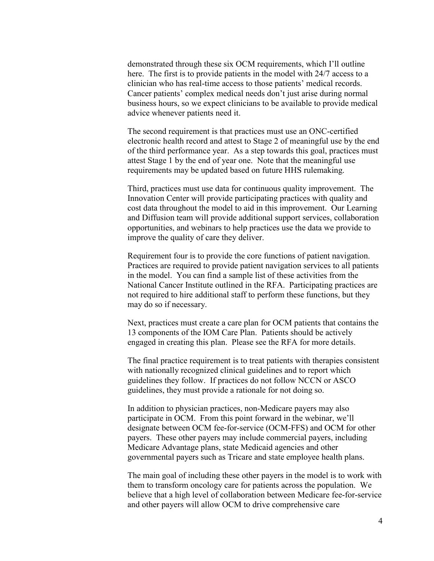demonstrated through these six OCM requirements, which I'll outline here. The first is to provide patients in the model with 24/7 access to a clinician who has real-time access to those patients' medical records. Cancer patients' complex medical needs don't just arise during normal business hours, so we expect clinicians to be available to provide medical advice whenever patients need it.

The second requirement is that practices must use an ONC-certified electronic health record and attest to Stage 2 of meaningful use by the end of the third performance year. As a step towards this goal, practices must attest Stage 1 by the end of year one. Note that the meaningful use requirements may be updated based on future HHS rulemaking.

Third, practices must use data for continuous quality improvement. The Innovation Center will provide participating practices with quality and cost data throughout the model to aid in this improvement. Our Learning and Diffusion team will provide additional support services, collaboration opportunities, and webinars to help practices use the data we provide to improve the quality of care they deliver.

Requirement four is to provide the core functions of patient navigation. Practices are required to provide patient navigation services to all patients in the model. You can find a sample list of these activities from the National Cancer Institute outlined in the RFA. Participating practices are not required to hire additional staff to perform these functions, but they may do so if necessary.

Next, practices must create a care plan for OCM patients that contains the 13 components of the IOM Care Plan. Patients should be actively engaged in creating this plan. Please see the RFA for more details.

The final practice requirement is to treat patients with therapies consistent with nationally recognized clinical guidelines and to report which guidelines they follow. If practices do not follow NCCN or ASCO guidelines, they must provide a rationale for not doing so.

In addition to physician practices, non-Medicare payers may also participate in OCM. From this point forward in the webinar, we'll designate between OCM fee-for-service (OCM-FFS) and OCM for other payers. These other payers may include commercial payers, including Medicare Advantage plans, state Medicaid agencies and other governmental payers such as Tricare and state employee health plans.

The main goal of including these other payers in the model is to work with them to transform oncology care for patients across the population. We believe that a high level of collaboration between Medicare fee-for-service and other payers will allow OCM to drive comprehensive care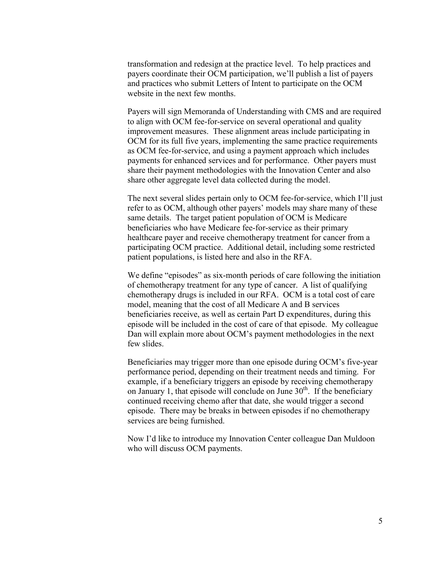transformation and redesign at the practice level. To help practices and payers coordinate their OCM participation, we'll publish a list of payers and practices who submit Letters of Intent to participate on the OCM website in the next few months.

Payers will sign Memoranda of Understanding with CMS and are required to align with OCM fee-for-service on several operational and quality improvement measures. These alignment areas include participating in OCM for its full five years, implementing the same practice requirements as OCM fee-for-service, and using a payment approach which includes payments for enhanced services and for performance. Other payers must share their payment methodologies with the Innovation Center and also share other aggregate level data collected during the model.

The next several slides pertain only to OCM fee-for-service, which I'll just refer to as OCM, although other payers' models may share many of these same details. The target patient population of OCM is Medicare beneficiaries who have Medicare fee-for-service as their primary healthcare payer and receive chemotherapy treatment for cancer from a participating OCM practice. Additional detail, including some restricted patient populations, is listed here and also in the RFA.

We define "episodes" as six-month periods of care following the initiation of chemotherapy treatment for any type of cancer. A list of qualifying chemotherapy drugs is included in our RFA. OCM is a total cost of care model, meaning that the cost of all Medicare A and B services beneficiaries receive, as well as certain Part D expenditures, during this episode will be included in the cost of care of that episode. My colleague Dan will explain more about OCM's payment methodologies in the next few slides.

Beneficiaries may trigger more than one episode during OCM's five-year performance period, depending on their treatment needs and timing. For example, if a beneficiary triggers an episode by receiving chemotherapy on January 1, that episode will conclude on June  $30<sup>th</sup>$ . If the beneficiary continued receiving chemo after that date, she would trigger a second episode. There may be breaks in between episodes if no chemotherapy services are being furnished.

Now I'd like to introduce my Innovation Center colleague Dan Muldoon who will discuss OCM payments.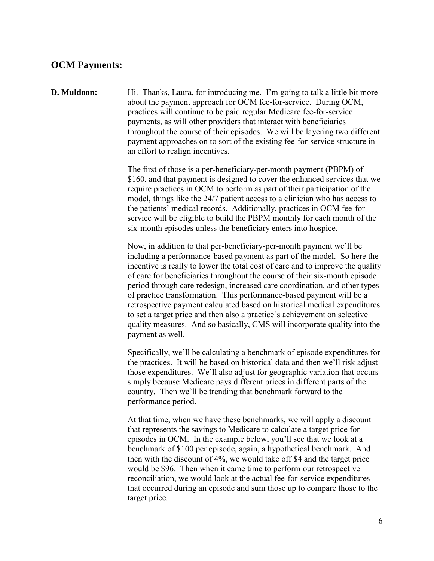## **OCM Payments:**

#### **D. Muldoon:** Hi. Thanks, Laura, for introducing me. I'm going to talk a little bit more about the payment approach for OCM fee-for-service. During OCM, practices will continue to be paid regular Medicare fee-for-service payments, as will other providers that interact with beneficiaries throughout the course of their episodes. We will be layering two different payment approaches on to sort of the existing fee-for-service structure in an effort to realign incentives.

The first of those is a per-beneficiary-per-month payment (PBPM) of \$160, and that payment is designed to cover the enhanced services that we require practices in OCM to perform as part of their participation of the model, things like the 24/7 patient access to a clinician who has access to the patients' medical records. Additionally, practices in OCM fee-forservice will be eligible to build the PBPM monthly for each month of the six-month episodes unless the beneficiary enters into hospice.

Now, in addition to that per-beneficiary-per-month payment we'll be including a performance-based payment as part of the model. So here the incentive is really to lower the total cost of care and to improve the quality of care for beneficiaries throughout the course of their six-month episode period through care redesign, increased care coordination, and other types of practice transformation. This performance-based payment will be a retrospective payment calculated based on historical medical expenditures to set a target price and then also a practice's achievement on selective quality measures. And so basically, CMS will incorporate quality into the payment as well.

Specifically, we'll be calculating a benchmark of episode expenditures for the practices. It will be based on historical data and then we'll risk adjust those expenditures. We'll also adjust for geographic variation that occurs simply because Medicare pays different prices in different parts of the country. Then we'll be trending that benchmark forward to the performance period.

At that time, when we have these benchmarks, we will apply a discount that represents the savings to Medicare to calculate a target price for episodes in OCM. In the example below, you'll see that we look at a benchmark of \$100 per episode, again, a hypothetical benchmark. And then with the discount of 4%, we would take off \$4 and the target price would be \$96. Then when it came time to perform our retrospective reconciliation, we would look at the actual fee-for-service expenditures that occurred during an episode and sum those up to compare those to the target price.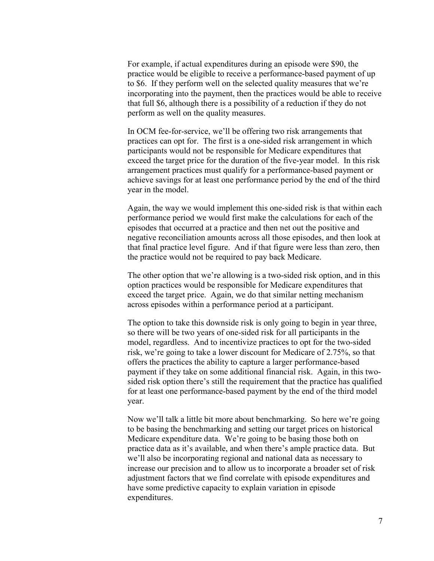For example, if actual expenditures during an episode were \$90, the practice would be eligible to receive a performance-based payment of up to \$6. If they perform well on the selected quality measures that we're incorporating into the payment, then the practices would be able to receive that full \$6, although there is a possibility of a reduction if they do not perform as well on the quality measures.

In OCM fee-for-service, we'll be offering two risk arrangements that practices can opt for. The first is a one-sided risk arrangement in which participants would not be responsible for Medicare expenditures that exceed the target price for the duration of the five-year model. In this risk arrangement practices must qualify for a performance-based payment or achieve savings for at least one performance period by the end of the third year in the model.

Again, the way we would implement this one-sided risk is that within each performance period we would first make the calculations for each of the episodes that occurred at a practice and then net out the positive and negative reconciliation amounts across all those episodes, and then look at that final practice level figure. And if that figure were less than zero, then the practice would not be required to pay back Medicare.

The other option that we're allowing is a two-sided risk option, and in this option practices would be responsible for Medicare expenditures that exceed the target price. Again, we do that similar netting mechanism across episodes within a performance period at a participant.

The option to take this downside risk is only going to begin in year three, so there will be two years of one-sided risk for all participants in the model, regardless. And to incentivize practices to opt for the two-sided risk, we're going to take a lower discount for Medicare of 2.75%, so that offers the practices the ability to capture a larger performance-based payment if they take on some additional financial risk. Again, in this twosided risk option there's still the requirement that the practice has qualified for at least one performance-based payment by the end of the third model year.

Now we'll talk a little bit more about benchmarking. So here we're going to be basing the benchmarking and setting our target prices on historical Medicare expenditure data. We're going to be basing those both on practice data as it's available, and when there's ample practice data. But we'll also be incorporating regional and national data as necessary to increase our precision and to allow us to incorporate a broader set of risk adjustment factors that we find correlate with episode expenditures and have some predictive capacity to explain variation in episode expenditures.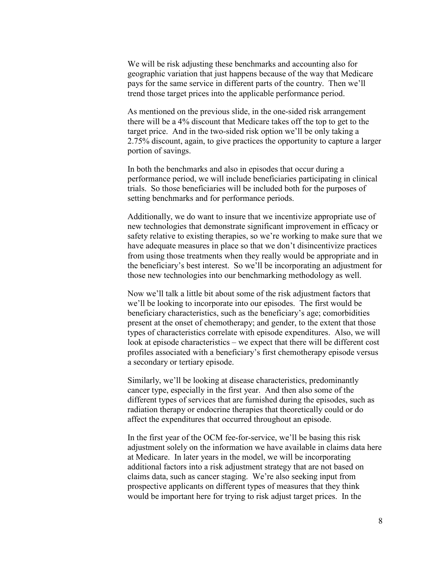We will be risk adjusting these benchmarks and accounting also for geographic variation that just happens because of the way that Medicare pays for the same service in different parts of the country. Then we'll trend those target prices into the applicable performance period.

As mentioned on the previous slide, in the one-sided risk arrangement there will be a 4% discount that Medicare takes off the top to get to the target price. And in the two-sided risk option we'll be only taking a 2.75% discount, again, to give practices the opportunity to capture a larger portion of savings.

In both the benchmarks and also in episodes that occur during a performance period, we will include beneficiaries participating in clinical trials. So those beneficiaries will be included both for the purposes of setting benchmarks and for performance periods.

Additionally, we do want to insure that we incentivize appropriate use of new technologies that demonstrate significant improvement in efficacy or safety relative to existing therapies, so we're working to make sure that we have adequate measures in place so that we don't disincentivize practices from using those treatments when they really would be appropriate and in the beneficiary's best interest. So we'll be incorporating an adjustment for those new technologies into our benchmarking methodology as well.

Now we'll talk a little bit about some of the risk adjustment factors that we'll be looking to incorporate into our episodes. The first would be beneficiary characteristics, such as the beneficiary's age; comorbidities present at the onset of chemotherapy; and gender, to the extent that those types of characteristics correlate with episode expenditures. Also, we will look at episode characteristics – we expect that there will be different cost profiles associated with a beneficiary's first chemotherapy episode versus a secondary or tertiary episode.

Similarly, we'll be looking at disease characteristics, predominantly cancer type, especially in the first year. And then also some of the different types of services that are furnished during the episodes, such as radiation therapy or endocrine therapies that theoretically could or do affect the expenditures that occurred throughout an episode.

In the first year of the OCM fee-for-service, we'll be basing this risk adjustment solely on the information we have available in claims data here at Medicare. In later years in the model, we will be incorporating additional factors into a risk adjustment strategy that are not based on claims data, such as cancer staging. We're also seeking input from prospective applicants on different types of measures that they think would be important here for trying to risk adjust target prices. In the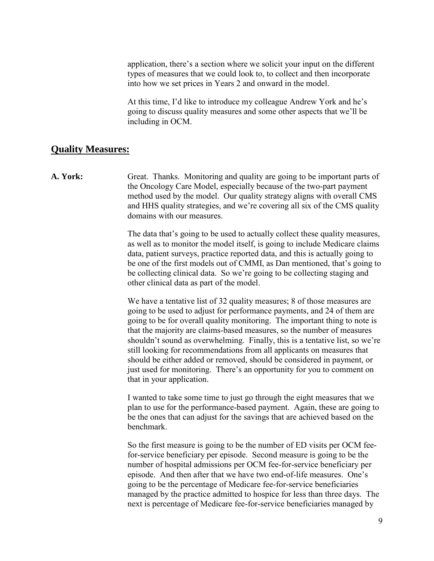application, there's a section where we solicit your input on the different types of measures that we could look to, to collect and then incorporate into how we set prices in Years 2 and onward in the model.

At this time, I'd like to introduce my colleague Andrew York and he's going to discuss quality measures and some other aspects that we'll be including in OCM.

## **Quality Measures:**

**A. York:** Great. Thanks. Monitoring and quality are going to be important parts of the Oncology Care Model, especially because of the two-part payment method used by the model. Our quality strategy aligns with overall CMS and HHS quality strategies, and we're covering all six of the CMS quality domains with our measures.

> The data that's going to be used to actually collect these quality measures, as well as to monitor the model itself, is going to include Medicare claims data, patient surveys, practice reported data, and this is actually going to be one of the first models out of CMMI, as Dan mentioned, that's going to be collecting clinical data. So we're going to be collecting staging and other clinical data as part of the model.

> We have a tentative list of 32 quality measures; 8 of those measures are going to be used to adjust for performance payments, and 24 of them are going to be for overall quality monitoring. The important thing to note is that the majority are claims-based measures, so the number of measures shouldn't sound as overwhelming. Finally, this is a tentative list, so we're still looking for recommendations from all applicants on measures that should be either added or removed, should be considered in payment, or just used for monitoring. There's an opportunity for you to comment on that in your application.

> I wanted to take some time to just go through the eight measures that we plan to use for the performance-based payment. Again, these are going to be the ones that can adjust for the savings that are achieved based on the benchmark.

> So the first measure is going to be the number of ED visits per OCM feefor-service beneficiary per episode. Second measure is going to be the number of hospital admissions per OCM fee-for-service beneficiary per episode. And then after that we have two end-of-life measures. One's going to be the percentage of Medicare fee-for-service beneficiaries managed by the practice admitted to hospice for less than three days. The next is percentage of Medicare fee-for-service beneficiaries managed by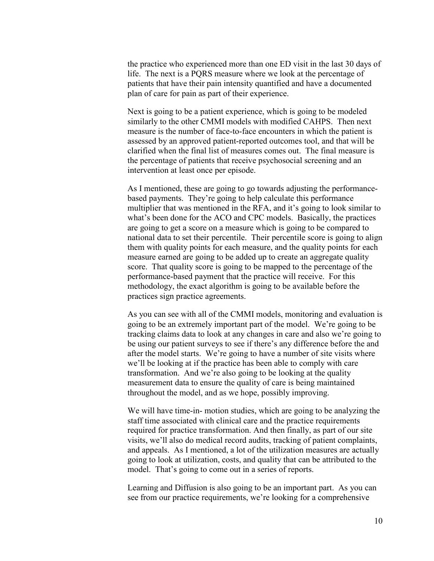the practice who experienced more than one ED visit in the last 30 days of life. The next is a PQRS measure where we look at the percentage of patients that have their pain intensity quantified and have a documented plan of care for pain as part of their experience.

Next is going to be a patient experience, which is going to be modeled similarly to the other CMMI models with modified CAHPS. Then next measure is the number of face-to-face encounters in which the patient is assessed by an approved patient-reported outcomes tool, and that will be clarified when the final list of measures comes out. The final measure is the percentage of patients that receive psychosocial screening and an intervention at least once per episode.

As I mentioned, these are going to go towards adjusting the performancebased payments. They're going to help calculate this performance multiplier that was mentioned in the RFA, and it's going to look similar to what's been done for the ACO and CPC models. Basically, the practices are going to get a score on a measure which is going to be compared to national data to set their percentile. Their percentile score is going to align them with quality points for each measure, and the quality points for each measure earned are going to be added up to create an aggregate quality score. That quality score is going to be mapped to the percentage of the performance-based payment that the practice will receive. For this methodology, the exact algorithm is going to be available before the practices sign practice agreements.

As you can see with all of the CMMI models, monitoring and evaluation is going to be an extremely important part of the model. We're going to be tracking claims data to look at any changes in care and also we're going to be using our patient surveys to see if there's any difference before the and after the model starts. We're going to have a number of site visits where we'll be looking at if the practice has been able to comply with care transformation. And we're also going to be looking at the quality measurement data to ensure the quality of care is being maintained throughout the model, and as we hope, possibly improving.

We will have time-in- motion studies, which are going to be analyzing the staff time associated with clinical care and the practice requirements required for practice transformation. And then finally, as part of our site visits, we'll also do medical record audits, tracking of patient complaints, and appeals. As I mentioned, a lot of the utilization measures are actually going to look at utilization, costs, and quality that can be attributed to the model. That's going to come out in a series of reports.

Learning and Diffusion is also going to be an important part. As you can see from our practice requirements, we're looking for a comprehensive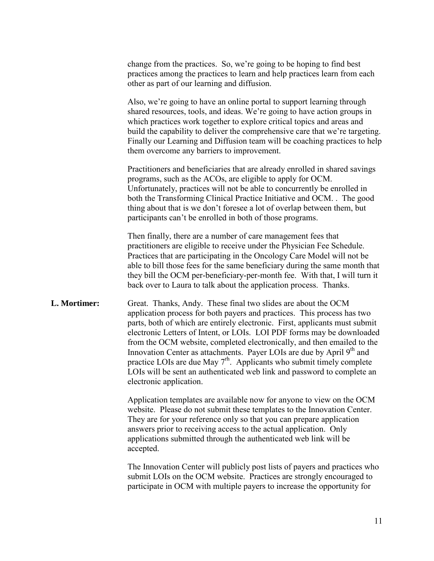change from the practices. So, we're going to be hoping to find best practices among the practices to learn and help practices learn from each other as part of our learning and diffusion.

Also, we're going to have an online portal to support learning through shared resources, tools, and ideas. We're going to have action groups in which practices work together to explore critical topics and areas and build the capability to deliver the comprehensive care that we're targeting. Finally our Learning and Diffusion team will be coaching practices to help them overcome any barriers to improvement.

Practitioners and beneficiaries that are already enrolled in shared savings programs, such as the ACOs, are eligible to apply for OCM. Unfortunately, practices will not be able to concurrently be enrolled in both the Transforming Clinical Practice Initiative and OCM. . The good thing about that is we don't foresee a lot of overlap between them, but participants can't be enrolled in both of those programs.

Then finally, there are a number of care management fees that practitioners are eligible to receive under the Physician Fee Schedule. Practices that are participating in the Oncology Care Model will not be able to bill those fees for the same beneficiary during the same month that they bill the OCM per-beneficiary-per-month fee. With that, I will turn it back over to Laura to talk about the application process. Thanks.

#### **L. Mortimer:** Great. Thanks, Andy. These final two slides are about the OCM application process for both payers and practices. This process has two parts, both of which are entirely electronic. First, applicants must submit electronic Letters of Intent, or LOIs. LOI PDF forms may be downloaded from the OCM website, completed electronically, and then emailed to the Innovation Center as attachments. Payer LOIs are due by April 9<sup>th</sup> and practice LOIs are due May  $7<sup>th</sup>$ . Applicants who submit timely complete LOIs will be sent an authenticated web link and password to complete an electronic application.

Application templates are available now for anyone to view on the OCM website. Please do not submit these templates to the Innovation Center. They are for your reference only so that you can prepare application answers prior to receiving access to the actual application. Only applications submitted through the authenticated web link will be accepted.

The Innovation Center will publicly post lists of payers and practices who submit LOIs on the OCM website. Practices are strongly encouraged to participate in OCM with multiple payers to increase the opportunity for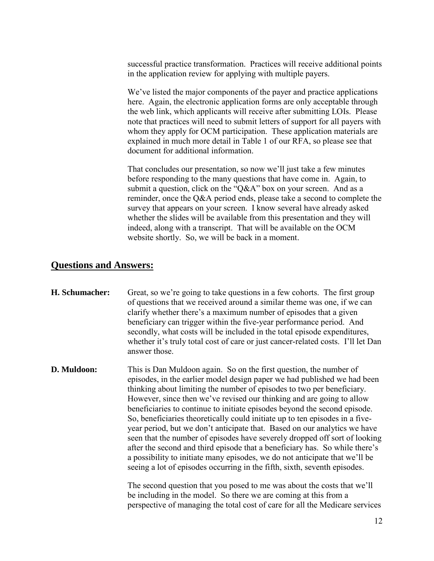successful practice transformation. Practices will receive additional points in the application review for applying with multiple payers.

We've listed the major components of the payer and practice applications here. Again, the electronic application forms are only acceptable through the web link, which applicants will receive after submitting LOIs. Please note that practices will need to submit letters of support for all payers with whom they apply for OCM participation. These application materials are explained in much more detail in Table 1 of our RFA, so please see that document for additional information.

That concludes our presentation, so now we'll just take a few minutes before responding to the many questions that have come in. Again, to submit a question, click on the "Q&A" box on your screen. And as a reminder, once the Q&A period ends, please take a second to complete the survey that appears on your screen. I know several have already asked whether the slides will be available from this presentation and they will indeed, along with a transcript. That will be available on the OCM website shortly. So, we will be back in a moment.

### **Questions and Answers:**

- **H. Schumacher:** Great, so we're going to take questions in a few cohorts. The first group of questions that we received around a similar theme was one, if we can clarify whether there's a maximum number of episodes that a given beneficiary can trigger within the five-year performance period. And secondly, what costs will be included in the total episode expenditures, whether it's truly total cost of care or just cancer-related costs. I'll let Dan answer those.
- **D. Muldoon:** This is Dan Muldoon again. So on the first question, the number of episodes, in the earlier model design paper we had published we had been thinking about limiting the number of episodes to two per beneficiary. However, since then we've revised our thinking and are going to allow beneficiaries to continue to initiate episodes beyond the second episode. So, beneficiaries theoretically could initiate up to ten episodes in a fiveyear period, but we don't anticipate that. Based on our analytics we have seen that the number of episodes have severely dropped off sort of looking after the second and third episode that a beneficiary has. So while there's a possibility to initiate many episodes, we do not anticipate that we'll be seeing a lot of episodes occurring in the fifth, sixth, seventh episodes.

The second question that you posed to me was about the costs that we'll be including in the model. So there we are coming at this from a perspective of managing the total cost of care for all the Medicare services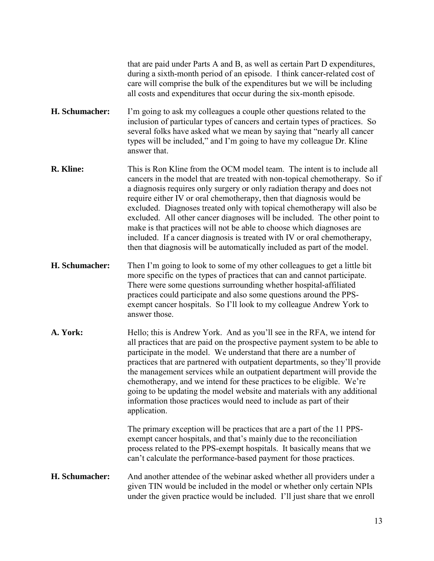that are paid under Parts A and B, as well as certain Part D expenditures, during a sixth-month period of an episode. I think cancer-related cost of care will comprise the bulk of the expenditures but we will be including all costs and expenditures that occur during the six-month episode.

- **H. Schumacher:** I'm going to ask my colleagues a couple other questions related to the inclusion of particular types of cancers and certain types of practices. So several folks have asked what we mean by saying that "nearly all cancer types will be included," and I'm going to have my colleague Dr. Kline answer that.
- **R. Kline:** This is Ron Kline from the OCM model team. The intent is to include all cancers in the model that are treated with non-topical chemotherapy. So if a diagnosis requires only surgery or only radiation therapy and does not require either IV or oral chemotherapy, then that diagnosis would be excluded. Diagnoses treated only with topical chemotherapy will also be excluded. All other cancer diagnoses will be included. The other point to make is that practices will not be able to choose which diagnoses are included. If a cancer diagnosis is treated with IV or oral chemotherapy, then that diagnosis will be automatically included as part of the model.
- **H. Schumacher:** Then I'm going to look to some of my other colleagues to get a little bit more specific on the types of practices that can and cannot participate. There were some questions surrounding whether hospital-affiliated practices could participate and also some questions around the PPSexempt cancer hospitals. So I'll look to my colleague Andrew York to answer those.
- **A. York:** Hello; this is Andrew York. And as you'll see in the RFA, we intend for all practices that are paid on the prospective payment system to be able to participate in the model. We understand that there are a number of practices that are partnered with outpatient departments, so they'll provide the management services while an outpatient department will provide the chemotherapy, and we intend for these practices to be eligible. We're going to be updating the model website and materials with any additional information those practices would need to include as part of their application.

The primary exception will be practices that are a part of the 11 PPSexempt cancer hospitals, and that's mainly due to the reconciliation process related to the PPS-exempt hospitals. It basically means that we can't calculate the performance-based payment for those practices.

**H. Schumacher:** And another attendee of the webinar asked whether all providers under a given TIN would be included in the model or whether only certain NPIs under the given practice would be included. I'll just share that we enroll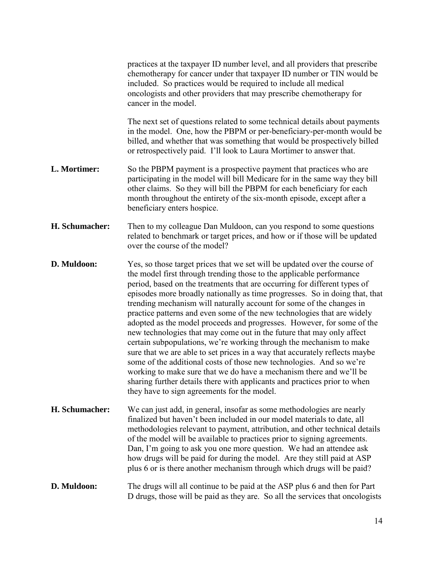|                | practices at the taxpayer ID number level, and all providers that prescribe<br>chemotherapy for cancer under that taxpayer ID number or TIN would be<br>included. So practices would be required to include all medical<br>oncologists and other providers that may prescribe chemotherapy for<br>cancer in the model.                                                                                                                                                                                                                                                                                                                                                                                                                                                                                                                                                                                                                                                                                                                                |
|----------------|-------------------------------------------------------------------------------------------------------------------------------------------------------------------------------------------------------------------------------------------------------------------------------------------------------------------------------------------------------------------------------------------------------------------------------------------------------------------------------------------------------------------------------------------------------------------------------------------------------------------------------------------------------------------------------------------------------------------------------------------------------------------------------------------------------------------------------------------------------------------------------------------------------------------------------------------------------------------------------------------------------------------------------------------------------|
|                | The next set of questions related to some technical details about payments<br>in the model. One, how the PBPM or per-beneficiary-per-month would be<br>billed, and whether that was something that would be prospectively billed<br>or retrospectively paid. I'll look to Laura Mortimer to answer that.                                                                                                                                                                                                                                                                                                                                                                                                                                                                                                                                                                                                                                                                                                                                              |
| L. Mortimer:   | So the PBPM payment is a prospective payment that practices who are<br>participating in the model will bill Medicare for in the same way they bill<br>other claims. So they will bill the PBPM for each beneficiary for each<br>month throughout the entirety of the six-month episode, except after a<br>beneficiary enters hospice.                                                                                                                                                                                                                                                                                                                                                                                                                                                                                                                                                                                                                                                                                                                 |
| H. Schumacher: | Then to my colleague Dan Muldoon, can you respond to some questions<br>related to benchmark or target prices, and how or if those will be updated<br>over the course of the model?                                                                                                                                                                                                                                                                                                                                                                                                                                                                                                                                                                                                                                                                                                                                                                                                                                                                    |
| D. Muldoon:    | Yes, so those target prices that we set will be updated over the course of<br>the model first through trending those to the applicable performance<br>period, based on the treatments that are occurring for different types of<br>episodes more broadly nationally as time progresses. So in doing that, that<br>trending mechanism will naturally account for some of the changes in<br>practice patterns and even some of the new technologies that are widely<br>adopted as the model proceeds and progresses. However, for some of the<br>new technologies that may come out in the future that may only affect<br>certain subpopulations, we're working through the mechanism to make<br>sure that we are able to set prices in a way that accurately reflects maybe<br>some of the additional costs of those new technologies. And so we're<br>working to make sure that we do have a mechanism there and we'll be<br>sharing further details there with applicants and practices prior to when<br>they have to sign agreements for the model. |
| H. Schumacher: | We can just add, in general, insofar as some methodologies are nearly<br>finalized but haven't been included in our model materials to date, all<br>methodologies relevant to payment, attribution, and other technical details<br>of the model will be available to practices prior to signing agreements.<br>Dan, I'm going to ask you one more question. We had an attendee ask<br>how drugs will be paid for during the model. Are they still paid at ASP<br>plus 6 or is there another mechanism through which drugs will be paid?                                                                                                                                                                                                                                                                                                                                                                                                                                                                                                               |
| D. Muldoon:    | The drugs will all continue to be paid at the ASP plus 6 and then for Part<br>D drugs, those will be paid as they are. So all the services that oncologists                                                                                                                                                                                                                                                                                                                                                                                                                                                                                                                                                                                                                                                                                                                                                                                                                                                                                           |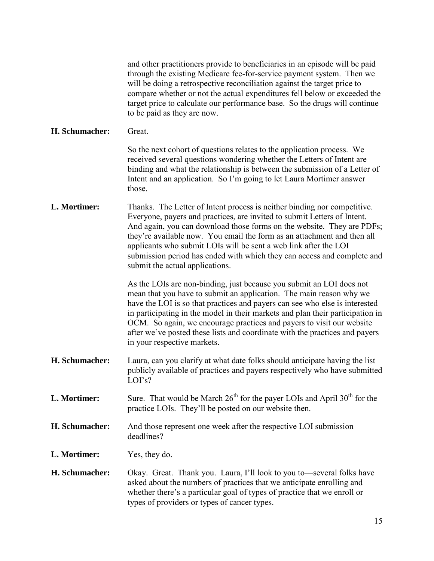| and other practitioners provide to beneficiaries in an episode will be paid |
|-----------------------------------------------------------------------------|
| through the existing Medicare fee-for-service payment system. Then we       |
| will be doing a retrospective reconciliation against the target price to    |
| compare whether or not the actual expenditures fell below or exceeded the   |
| target price to calculate our performance base. So the drugs will continue  |
| to be paid as they are now.                                                 |

#### **H. Schumacher:** Great.

So the next cohort of questions relates to the application process. We received several questions wondering whether the Letters of Intent are binding and what the relationship is between the submission of a Letter of Intent and an application. So I'm going to let Laura Mortimer answer those.

**L. Mortimer:** Thanks. The Letter of Intent process is neither binding nor competitive. Everyone, payers and practices, are invited to submit Letters of Intent. And again, you can download those forms on the website. They are PDFs; they're available now. You email the form as an attachment and then all applicants who submit LOIs will be sent a web link after the LOI submission period has ended with which they can access and complete and submit the actual applications.

> As the LOIs are non-binding, just because you submit an LOI does not mean that you have to submit an application. The main reason why we have the LOI is so that practices and payers can see who else is interested in participating in the model in their markets and plan their participation in OCM. So again, we encourage practices and payers to visit our website after we've posted these lists and coordinate with the practices and payers in your respective markets.

- **H. Schumacher:** Laura, can you clarify at what date folks should anticipate having the list publicly available of practices and payers respectively who have submitted LOI's?
- **L. Mortimer:** Sure. That would be March  $26<sup>th</sup>$  for the payer LOIs and April  $30<sup>th</sup>$  for the practice LOIs. They'll be posted on our website then.
- **H. Schumacher:** And those represent one week after the respective LOI submission deadlines?
- **L. Mortimer:** Yes, they do.
- **H. Schumacher:** Okay. Great. Thank you. Laura, I'll look to you to—several folks have asked about the numbers of practices that we anticipate enrolling and whether there's a particular goal of types of practice that we enroll or types of providers or types of cancer types.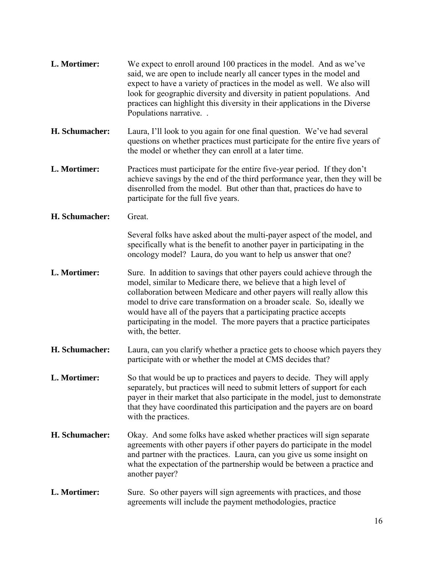**L. Mortimer:** We expect to enroll around 100 practices in the model. And as we've said, we are open to include nearly all cancer types in the model and expect to have a variety of practices in the model as well. We also will look for geographic diversity and diversity in patient populations. And practices can highlight this diversity in their applications in the Diverse Populations narrative. . **H. Schumacher:** Laura, I'll look to you again for one final question. We've had several questions on whether practices must participate for the entire five years of the model or whether they can enroll at a later time. **L. Mortimer:** Practices must participate for the entire five-year period. If they don't achieve savings by the end of the third performance year, then they will be disenrolled from the model. But other than that, practices do have to participate for the full five years. **H. Schumacher:** Great. Several folks have asked about the multi-payer aspect of the model, and specifically what is the benefit to another payer in participating in the oncology model? Laura, do you want to help us answer that one? **L. Mortimer:** Sure. In addition to savings that other payers could achieve through the model, similar to Medicare there, we believe that a high level of collaboration between Medicare and other payers will really allow this model to drive care transformation on a broader scale. So, ideally we would have all of the payers that a participating practice accepts participating in the model. The more payers that a practice participates with, the better. **H. Schumacher:** Laura, can you clarify whether a practice gets to choose which payers they participate with or whether the model at CMS decides that? **L. Mortimer:** So that would be up to practices and payers to decide. They will apply separately, but practices will need to submit letters of support for each payer in their market that also participate in the model, just to demonstrate that they have coordinated this participation and the payers are on board with the practices. **H. Schumacher:** Okay. And some folks have asked whether practices will sign separate agreements with other payers if other payers do participate in the model and partner with the practices. Laura, can you give us some insight on what the expectation of the partnership would be between a practice and another payer? **L. Mortimer:** Sure. So other payers will sign agreements with practices, and those agreements will include the payment methodologies, practice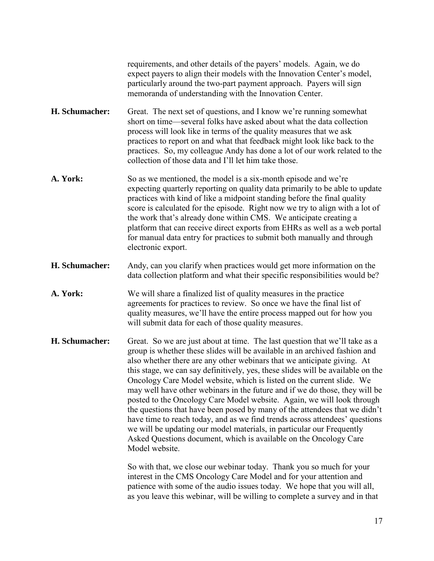requirements, and other details of the payers' models. Again, we do expect payers to align their models with the Innovation Center's model, particularly around the two-part payment approach. Payers will sign memoranda of understanding with the Innovation Center.

- **H. Schumacher:** Great. The next set of questions, and I know we're running somewhat short on time—several folks have asked about what the data collection process will look like in terms of the quality measures that we ask practices to report on and what that feedback might look like back to the practices. So, my colleague Andy has done a lot of our work related to the collection of those data and I'll let him take those.
- A. York: So as we mentioned, the model is a six-month episode and we're expecting quarterly reporting on quality data primarily to be able to update practices with kind of like a midpoint standing before the final quality score is calculated for the episode. Right now we try to align with a lot of the work that's already done within CMS. We anticipate creating a platform that can receive direct exports from EHRs as well as a web portal for manual data entry for practices to submit both manually and through electronic export.
- **H. Schumacher:** Andy, can you clarify when practices would get more information on the data collection platform and what their specific responsibilities would be?
- **A. York:** We will share a finalized list of quality measures in the practice agreements for practices to review. So once we have the final list of quality measures, we'll have the entire process mapped out for how you will submit data for each of those quality measures.
- **H. Schumacher:** Great. So we are just about at time. The last question that we'll take as a group is whether these slides will be available in an archived fashion and also whether there are any other webinars that we anticipate giving. At this stage, we can say definitively, yes, these slides will be available on the Oncology Care Model website, which is listed on the current slide. We may well have other webinars in the future and if we do those, they will be posted to the Oncology Care Model website. Again, we will look through the questions that have been posed by many of the attendees that we didn't have time to reach today, and as we find trends across attendees' questions we will be updating our model materials, in particular our Frequently Asked Questions document, which is available on the Oncology Care Model website.

So with that, we close our webinar today. Thank you so much for your interest in the CMS Oncology Care Model and for your attention and patience with some of the audio issues today. We hope that you will all, as you leave this webinar, will be willing to complete a survey and in that